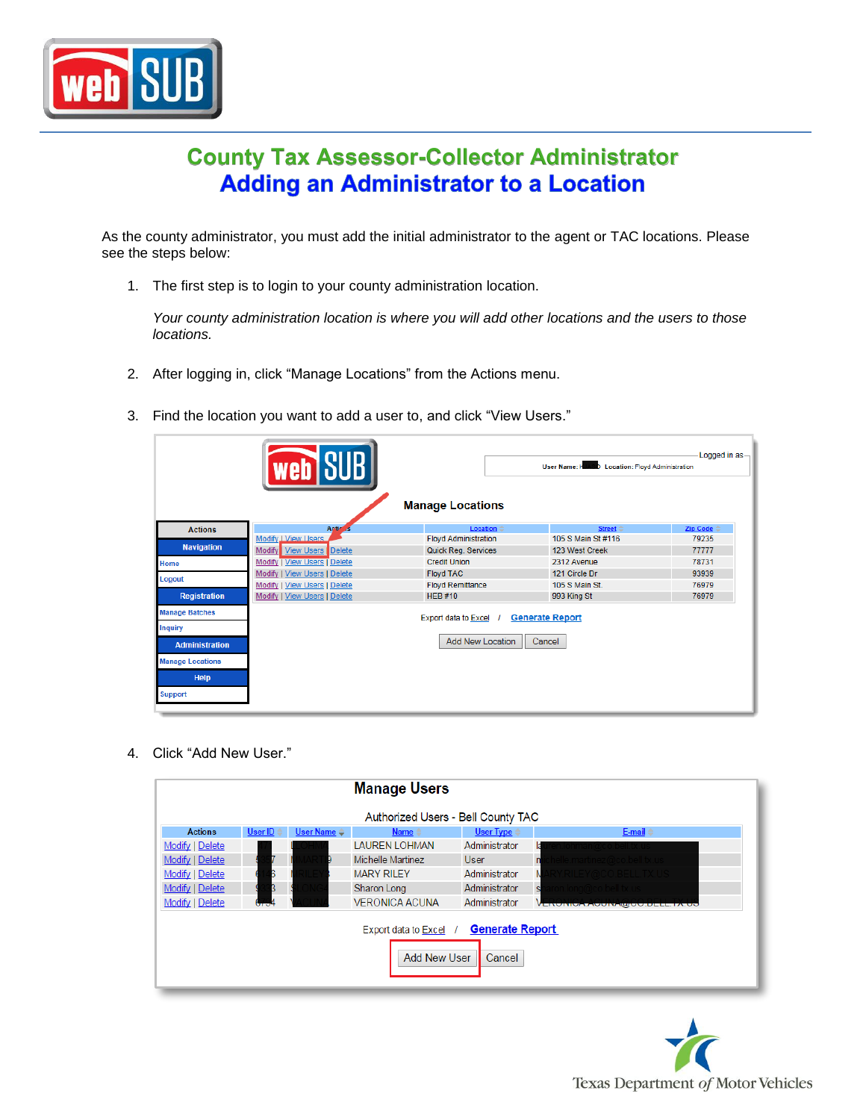

## **County Tax Assessor-Collector Administrator Adding an Administrator to a Location**

As the county administrator, you must add the initial administrator to the agent or TAC locations. Please see the steps below:

1. The first step is to login to your county administration location.

*Your county administration location is where you will add other locations and the users to those locations.*

- 2. After logging in, click "Manage Locations" from the Actions menu.
	- Logged in as User Name: KIASO Location: Floyd Administration **Manage Locations Actions** Modify J View Users **Floyd Administration** 105 S Main St #116 79235 **Navigation** Quick Reg. Services Modify View Users Delete 123 West Creek 77777 **Credit Union** 2312 Avenue 78731 Modify | View Users | Delete **Floyd TAC** 121 Circle Dr 93939 Modify | View Users | Delete Logout Modify | View Users | Delete **Floyd Remittance** 105 S Main St. 76979 **Registration** Modify | View Users | Delete **HEB#10** 993 King St 76979 anage Batche<mark>s</mark> Export data to Excel / Generate Report quiry Add New Location | Cancel **Administration Inage Locations** Help upport
- 3. Find the location you want to add a user to, and click "View Users."

4. Click "Add New User."

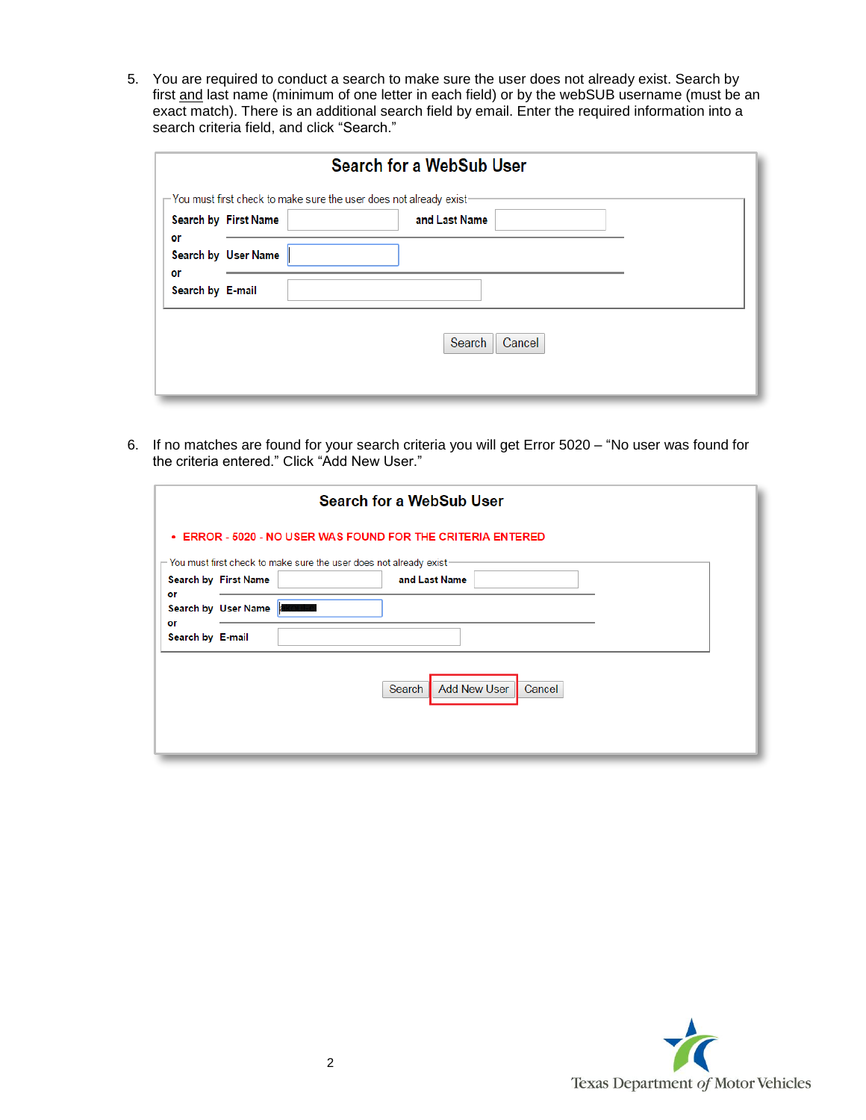5. You are required to conduct a search to make sure the user does not already exist. Search by first and last name (minimum of one letter in each field) or by the webSUB username (must be an exact match). There is an additional search field by email. Enter the required information into a search criteria field, and click "Search."

|                  |                      | Search for a WebSub User                                                    |  |
|------------------|----------------------|-----------------------------------------------------------------------------|--|
|                  |                      | $\Gamma$ You must first check to make sure the user does not already exist- |  |
|                  | Search by First Name | and Last Name                                                               |  |
| or<br>or         | Search by User Name  |                                                                             |  |
| Search by E-mail |                      |                                                                             |  |
|                  |                      | Cancel<br>Search                                                            |  |

6. If no matches are found for your search criteria you will get Error 5020 – "No user was found for the criteria entered." Click "Add New User."

|                        |                      | Search for a WebSub User                                                                                         |  |
|------------------------|----------------------|------------------------------------------------------------------------------------------------------------------|--|
|                        |                      | <b>• ERROR - 5020 - NO USER WAS FOUND FOR THE CRITERIA ENTERED</b>                                               |  |
|                        |                      | $\mathord{\hspace{1pt}\text{--}\hspace{1pt}}$ You must first check to make sure the user does not already exist- |  |
|                        | Search by First Name | and Last Name                                                                                                    |  |
| or                     | Search by User Name  |                                                                                                                  |  |
| or<br>Search by E-mail |                      |                                                                                                                  |  |
|                        |                      | <b>Add New User</b><br>Cancel<br>Search                                                                          |  |
|                        |                      |                                                                                                                  |  |

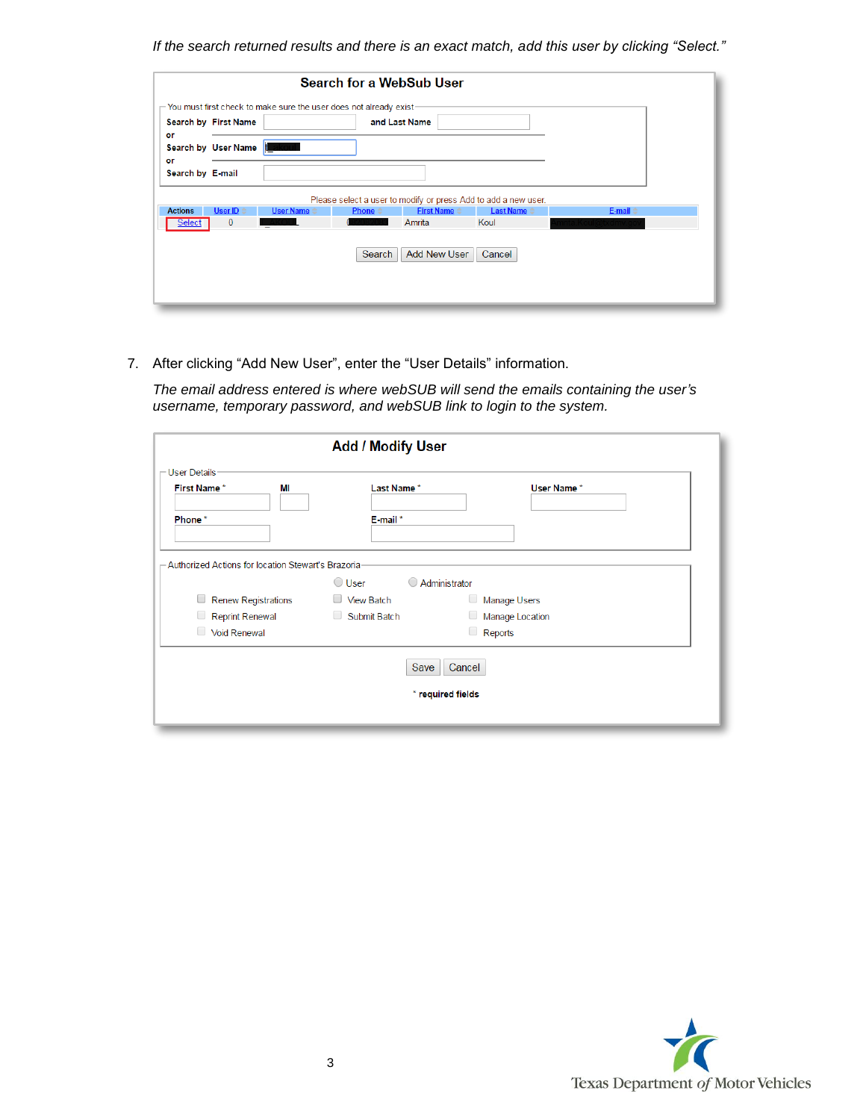*If the search returned results and there is an exact match, add this user by clicking "Select."*

|                  |                      |                                                                                           |                     | Search for a WebSub User                       |                                                                |                          |  |
|------------------|----------------------|-------------------------------------------------------------------------------------------|---------------------|------------------------------------------------|----------------------------------------------------------------|--------------------------|--|
|                  |                      | $\mathord{\sqsubset}$ You must first check to make sure the user does not already exist - |                     |                                                |                                                                |                          |  |
| or               | Search by First Name |                                                                                           |                     | and Last Name                                  |                                                                |                          |  |
| or               | Search by User Name  |                                                                                           |                     |                                                |                                                                |                          |  |
| Search by E-mail |                      |                                                                                           |                     |                                                |                                                                |                          |  |
|                  |                      |                                                                                           |                     |                                                | Please select a user to modify or press Add to add a new user. |                          |  |
| <b>Actions</b>   | User ID $\triangle$  | User Name $\Leftrightarrow$                                                               | Phone $\Rightarrow$ | <b>First Name <math>\Leftrightarrow</math></b> | <b>Last Name <math>\Leftrightarrow</math></b>                  | E-mail $\Leftrightarrow$ |  |
| <b>Select</b>    | $\mathbf{0}$         |                                                                                           |                     | Amrita                                         | Koul                                                           |                          |  |
|                  |                      |                                                                                           | Search              | <b>Add New User</b>                            | Cancel                                                         |                          |  |

7. After clicking "Add New User", enter the "User Details" information.

*The email address entered is where webSUB will send the emails containing the user's username, temporary password, and webSUB link to login to the system.*

| <b>Add / Modify User</b>                                |                      |               |                     |  |  |
|---------------------------------------------------------|----------------------|---------------|---------------------|--|--|
| - User Details <sup>.</sup><br><b>First Name*</b><br>MI | Last Name*           |               | User Name*          |  |  |
|                                                         |                      |               |                     |  |  |
| Phone*                                                  | E-mail*              |               |                     |  |  |
| - Authorized Actions for location Stewart's Brazoria    | $\bigcirc$ User<br>( | Administrator |                     |  |  |
| U<br><b>Renew Registrations</b>                         | $\Box$ View Batch    | u             | <b>Manage Users</b> |  |  |
| O<br><b>Reprint Renewal</b>                             | Submit Batch         | 0             | Manage Location     |  |  |
| O<br><b>Void Renewal</b>                                |                      | 0             | Reports             |  |  |
| Cancel<br>Save<br>* required fields                     |                      |               |                     |  |  |
|                                                         |                      |               |                     |  |  |